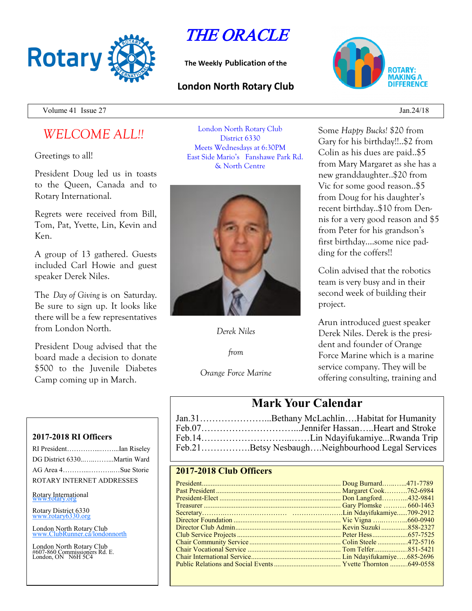

# THE ORACLE

**The Weekly Publication of the**

## **London North Rotary Club**



Volume 41 Issue 27 Jan.24/18

# *WELCOME ALL!!*

Greetings to all!

President Doug led us in toasts to the Queen, Canada and to Rotary International.

Regrets were received from Bill, Tom, Pat, Yvette, Lin, Kevin and Ken.

A group of 13 gathered. Guests included Carl Howie and guest speaker Derek Niles.

The *Day of Giving* is on Saturday. Be sure to sign up. It looks like there will be a few representatives from London North.

President Doug advised that the board made a decision to donate \$500 to the Juvenile Diabetes Camp coming up in March.

#### **2017-2018 RI Officers**

| RI PresidentIan Riseley     |  |
|-----------------------------|--|
| DG District 6330Martin Ward |  |
| AG Area 4Sue Storie         |  |
| ROTARY INTERNET ADDRESSES   |  |

Rotary International

Rotary District 6330 [www.rotary6330.org](http://www.rotary6330.org/)

London North Rotary Club IubRunner.ca/londonnorth

London North Rotary Club #607-860 Commissioners Rd. E. London, ON N6H 5C4

London North Rotary Club District 6330 Meets Wednesdays at 6:30PM East Side Mario's Fanshawe Park Rd. & North Centre



*Derek Niles*

*from*

*Orange Force Marine*

Some *Happy Bucks! \$*20 from Gary for his birthday!!..\$2 from Colin as his dues are paid..\$5 from Mary Margaret as she has a new granddaughter..\$20 from Vic for some good reason..\$5 from Doug for his daughter's recent birthday..\$10 from Dennis for a very good reason and \$5 from Peter for his grandson's first birthday….some nice padding for the coffers!!

Colin advised that the robotics team is very busy and in their second week of building their project.

Arun introduced guest speaker Derek Niles. Derek is the president and founder of Orange Force Marine which is a marine service company. They will be offering consulting, training and

# **Mark Your Calendar**

| Jan.31Bethany McLachlinHabitat for Humanity      |
|--------------------------------------------------|
|                                                  |
|                                                  |
| Feb.21Betsy NesbaughNeighbourhood Legal Services |

### **2017-2018 Club Officers**